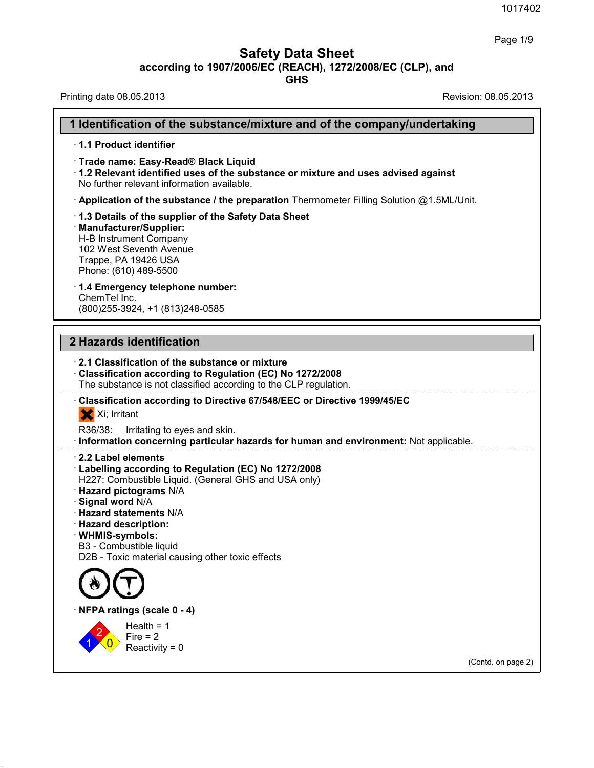1017<br> **Safety Data Sheet**<br> **according to 1907/2006/EC (REACH), 1272/2008/EC (CLP), and<br>
GHS** 

36.0.22

| <b>Safety Data Sheet</b><br>according to 1907/2006/EC (REACH), 1272/2008/EC (CLP), and<br><b>GHS</b>                                                                                                                                                                                                                                           | Page 1/9             |
|------------------------------------------------------------------------------------------------------------------------------------------------------------------------------------------------------------------------------------------------------------------------------------------------------------------------------------------------|----------------------|
| Printing date 08.05.2013                                                                                                                                                                                                                                                                                                                       | Revision: 08.05.2013 |
| 1 Identification of the substance/mixture and of the company/undertaking                                                                                                                                                                                                                                                                       |                      |
| 1.1 Product identifier                                                                                                                                                                                                                                                                                                                         |                      |
| Trade name: Easy-Read® Black Liquid<br>1.2 Relevant identified uses of the substance or mixture and uses advised against<br>No further relevant information available.                                                                                                                                                                         |                      |
| · Application of the substance / the preparation Thermometer Filling Solution @1.5ML/Unit.                                                                                                                                                                                                                                                     |                      |
| 1.3 Details of the supplier of the Safety Data Sheet<br>· Manufacturer/Supplier:<br>H-B Instrument Company<br>102 West Seventh Avenue<br>Trappe, PA 19426 USA<br>Phone: (610) 489-5500                                                                                                                                                         |                      |
| 1.4 Emergency telephone number:<br>ChemTel Inc.<br>(800) 255-3924, +1 (813) 248-0585                                                                                                                                                                                                                                                           |                      |
| 2 Hazards identification                                                                                                                                                                                                                                                                                                                       |                      |
| 2.1 Classification of the substance or mixture<br>Classification according to Regulation (EC) No 1272/2008<br>The substance is not classified according to the CLP regulation.                                                                                                                                                                 |                      |
| Classification according to Directive 67/548/EEC or Directive 1999/45/EC<br>X Xi; Irritant                                                                                                                                                                                                                                                     |                      |
| R36/38:<br>Irritating to eyes and skin.<br>· Information concerning particular hazards for human and environment: Not applicable.                                                                                                                                                                                                              |                      |
| 2.2 Label elements<br>Labelling according to Regulation (EC) No 1272/2008<br>H227: Combustible Liquid. (General GHS and USA only)<br>Hazard pictograms N/A<br>Signal word N/A<br><b>Hazard statements N/A</b><br><b>Hazard description:</b><br>· WHMIS-symbols:<br>B3 - Combustible liquid<br>D2B - Toxic material causing other toxic effects |                      |
|                                                                                                                                                                                                                                                                                                                                                |                      |
| NFPA ratings (scale 0 - 4)                                                                                                                                                                                                                                                                                                                     |                      |
| Health = $1$<br>$Fire = 2$<br>Reactivity = $0$                                                                                                                                                                                                                                                                                                 |                      |
|                                                                                                                                                                                                                                                                                                                                                | (Contd. on page 2)   |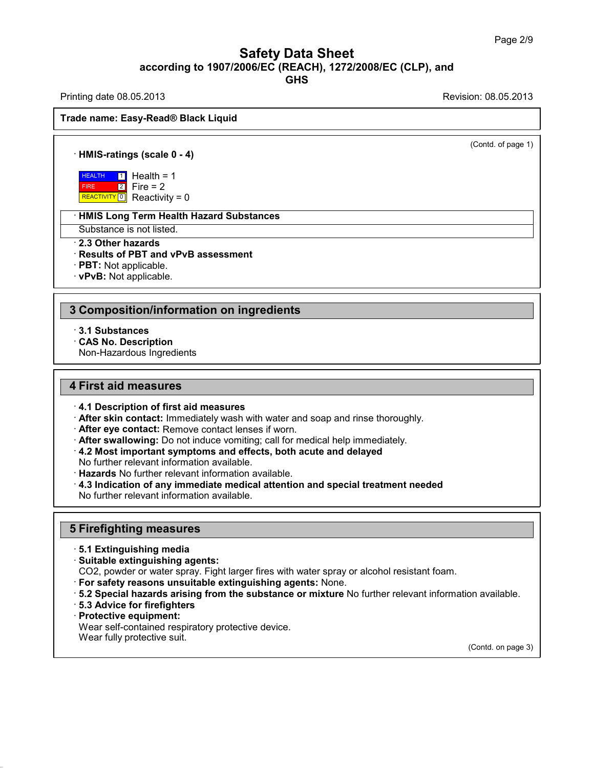### Safety Data Sheet<br><sub>006/EC (REACH), 1272/2008/EC (CLP),<br>GHS</sub> Page 2/9<br>**according to 1907/2006/EC (REACH), 1272/2008/EC (CLP), and<br>GHS<br>Revision: 08.05.2013<br>Revision: 08.05.2013 GHS Safety Data Sheet<br>
according to 1907/2006/EC (REACH), 1272/2008/EC (CLP), and<br>
Printing date 08.05.2013<br>
Revision: 08.05.2013<br>
Revision: 08.05.2013 ACCORDING 1907/2006/EC (Required)**<br>Printing date 08.05.2013<br>Trade name: Easy-Read® Black Liquid

# Trade name: Easy-Read® Black Liquid<br> **• HMIS-ratings (scale 0 - 4)**<br>
• HEALTH 1 Health = 1

(Contd. of page 1)

**HEALTH** 1 Hea FIRE

REACTIVITY  $\boxed{0}$  Reactivity = 0  $\boxed{2}$  Fire = 2  $\frac{1}{2}$  Health = 1<br>
Fire = 2<br>
Reactivity = 0 **is (scale 0 - 4)**<br>Health = 1<br>Fire = 2<br>Reactivity = 0 is (scale 0 - 4)<br>Health = 1<br>Fire = 2<br>Reactivity = 0<br>Term Health Hazard Substan **HEALTH TO Health = 1<br>
FIRE 2** Fire = 2<br>
REACTIVITY<sup>10</sup> Reactivity = 0<br> **HMIS Long Term Health Hazard Substances**<br>
Substance is not listed. **EXALTHERE 2.3** Fire = 2.<br> **EXACTIVITY 10** Reactivity = 0<br> **EXACTIVITY 10** Reactivity = 0<br> **EXACTIVITY 10** Reactivity = 0<br> **EXACTIVITY 10** Reactivity = 0<br> **EXACTIVITY 10** Reactivity = 0<br> **PIST: Not and VPVB assessments** 

## **Example Treactivity = 0**<br> **EXECUTE: Results Of PBT and vPvB assessment**<br> **Results of PBT and vPvB assessment**<br> **PBT:** Not applicable.<br> **PBT:** Not applicable. • **HMIS Long Term Health Haz**<br>Substance is not listed.<br>• **2.3 Other hazards**<br>• **Results of PBT and vPvB as**<br>• **PBT:** Not applicable.<br>• **vPvB:** Not applicable.

### Face Composition of PBT and vPvB assessment<br> **3 Composition/information on ingredients**<br> **3 Composition/information on ingredients**<br> **3.1 Substances** · **∨P∨B:** Not applicable.<br>
3.1 Substances<br>
· CAS No. Description<br>
· Non-Hazardous Ingredien **Composition/information**<br>- 3.1 Substances<br>- CAS No. Description<br>Non-Hazardous Ingredients **Composition/information or**<br>3.1 Substances<br>CAS No. Description<br>Non-Hazardous Ingredients

- 
- 

- **4 First aid measures**<br>**4 First aid measures**<br>**4.1 Description of first aid measures**
- **4.1 Description of first aid measures**<br> **4.1 Description of first aid measures**<br> **4.1 Description of first aid measures**<br> **4.1 Description of first aid measures**<br> **4.1 Description of first aid measures**<br> **4.1 Description First aid measures**<br> **Example 3 A.1 Description of first aid measures**<br> **A.1 Description of first aid measures**<br> **After skin contact:** Immediately wash with water and soap and rinse thoroughly.<br> **After eye contact:** Remov
- 
- 
- 
- 
- No further relevant information available<br> **Hazards** No further relevant information<br> **4.3 Indication of any immediate medi**<br>
No further relevant information available<br>
5 Firefighting measures<br>
5.1 Extinguishing media
- **4.1 Description of first aid measures**<br>• **After skin contact:** Immediately wash with water and soap and rinse thoroughly.<br>• **After eye contact:** Remove contact lenses if worn.<br>• **After swallowing:** Do not induce vomiti • After swallowing: Do not induce vomiting; call for medical help immediately.<br>
• 4.2 Most important symptoms and effects, both acute and delayed<br>
No further relevant information available.<br>
• Hazards No further relevant

## **5.1 Extinguishing measures**<br>5.1 Extinguishing media<br>Suitable extinguishing agents:

- 
- 
- **Firefighting measures<br>· 5.1 Extinguishing media<br>· Suitable extinguishing agents:<br>CO2, powder or water spray. Fight larger fire<br>· For safety reasons unsuitable extinguish**
- 
- 5 Firefighting measures<br>
19.1 Extinguishing media<br>
19.1 Extinguishing agents:<br>
202, powder or water spray. Fight larger fires with water spray or alcohol resistant foam.<br>
19.2 Special hazards arising from the substance or For safety reasons unsuitable extinguishing agents: None.<br>
1972 Special hazards arising from the substance or mixture No further relevant information available.<br>
1973 Advice for firefighters<br>
1973 Advice for firefighters<br>
- 
- 

36.0.22

• **Suitable extinguishing agent**<br>
CO2, powder or water spray. F<br>
• **For safety reasons unsuitable 5.2 Special hazards arising f<br>
• <b>5.3 Advice for firefighters**<br>
• **Protective equipment:**<br>
Wear self-contained respirator<br>
W Wear self-contained respiratory protective device.

(Contd. on page 3)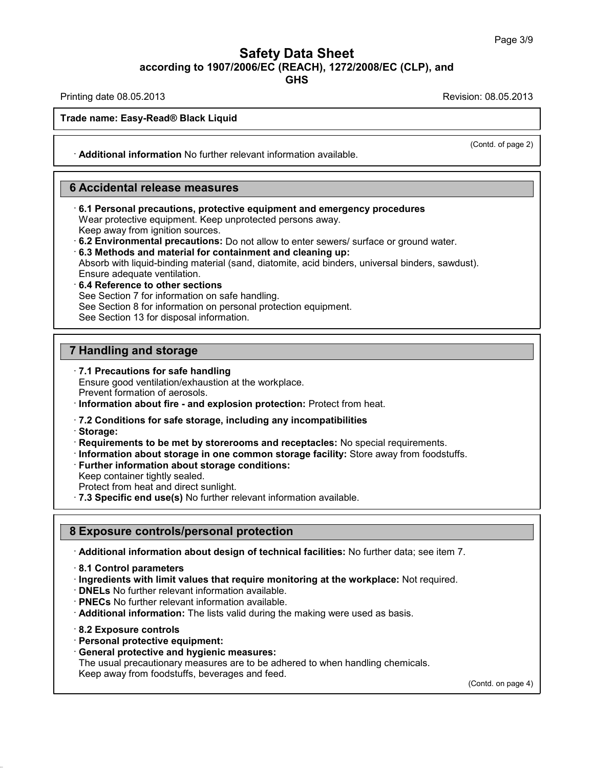## Safety Data Sheet<br><sub>006/EC (REACH), 1272/2008/EC (CLP),<br>GHS</sub> Page 3/9<br>**according to 1907/2006/EC (REACH), 1272/2008/EC (CLP), and<br>GHS<br>Revision: 08.05.2013<br>Revision: 08.05.2013 Safety Data Sheet<br>
Example 379 according to 1907/2006/EC (REACH), 1272/2008/EC (CLP), and<br>
Printing date 08.05.2013<br>
Revision: 08.05.2013<br>
Revision: 08.05.2013 ACCORDING 1907/2006/EC (Required)**<br>Printing date 08.05.2013<br>Trade name: Easy-Read® Black Liquid

**GHS**

(Contd. of page 2)

Trade name: Easy-Read® Black Liquid<br> **Additional information** No further relevant information available.

**Example 2018 Process Concernsive Concernsive Concernsive Concernsive Concernsive Concernsive Concernsive Concernsive Concernsive Concernsive Concernsive Concernsive Concernsive Concernsive Concernsive Concernsive Concerns** • **Additional information No further relevant information available.**<br> **6.1 Personal precautions, protective equipment and emergency procedures**<br>
Wear protective equipment. Keep unprotected persons away.<br>
Keep away from ig **Accidental release measures<br>6.1 Personal precautions, protective equipment and emergency proce**<br>Wear protective equipment. Keep unprotected persons away.<br>Keep away from ignition sources.<br>6.2 Environmental procautions: De

- 
- 

For the sources. **Control is a surface as a surface sources.**<br> **E.1 Personal precautions, protective equipment and emergency procedures**<br>
Wear protective equipment. Keep unprotected persons away.<br> **E.3 Methods and material** 6.1 Personal precautions, protective equipment and emergency procedures<br>Wear protective equipment. Keep unprotected persons away.<br>Keep away from ignition sources.<br>6.2 Environmental precautions: Do not allow to enter sewers Wear protective equipment. Keep unprotec<br>
Keep away from ignition sources.<br> **6.2 Environmental precautions:** Do not al<br> **6.3 Methods and material for containmer**<br>
Absorb with liquid-binding material (sand, d<br>
Ensure adequa **6.3 Methods and material for containment and cleaning up:**<br>Absorb with liquid-binding material (sand, diatomite, acid binders<br>Ensure adequate ventilation.<br>6.4 Reference to other sections<br>See Section 7 for information on s Absorb with liquid-binding material (sand, diatomite, acid binders, universal binders, sawdust). Absorb with liquid-binding material (sand, diator<br>Ensure adequate ventilation.<br>6.4 Reference to other sections<br>See Section 7 for information on safe handling.<br>See Section 8 for information on personal prote<br>See Section 13

**6.4 Reference to other sections**<br>
See Section 7 for information on safe has<br>
See Section 8 for information on personal<br>
See Section 13 for disposal information.<br> **7 Handling and storage**<br> **7.1 Precautions for safe handlin** 

**7 Handling and storage<br>
· 7.1 Precautions for safe handling<br>
Ensure good ventilation/exhaustion at the workplace.<br>
Prevent formation of aerosols. Handling and storage<br>
7.1 Precautions for safe handling<br>
Ensure good ventilation/exhaustion at the workplace.<br>
Prevent formation about fire - and explosion protection: Protect** 

- 
- **Prevent formation of aerosols.**<br> **Prevent formation of aerosols.**<br> **Prevent formation of aerosols.**<br> **Prevent formation about fire and explosion protection:** Protect from heat.<br> **Protect from heat.**<br> **Protections for sa** Prevent formation of aerosols.<br> **Constant Constant Constant Constant Constant Constant Constant Constant Constant Constant Constant Constant<br>
Constant Constant Constant Constant Constant Constant Constant Constant Constant**

· **Storage:**

- **Requirements to be met by storerooms and receptacles: No special requirements.**
- The Conditions for safe storage, including any incompatibilities<br>
Storage:<br>
Requirements to be met by storerooms and receptacles: No special requirements.<br>
Information about storage in one common storage facility: Store aw
- 

Further information about storage conditions:<br>
Keep container tightly sealed.<br>
Protect from heat and direct sunlight.<br> **8 Exposure controls/personal protection**<br> **8 Exposure controls/personal protection**<br> **Additional infor** · **7.3 Specific end use(s)** No further relevant information available.<br> **BExposure controls/personal protection**<br>
· **Additional information about design of technical facilities:** No further data; see item 7.<br>
· **8.1 Contr** 3 Exposure controls/personal protection<br>
∴Additional information about design of technical facilities: No further data; see item 7.<br>
∗8.1 Control parameters<br>
∗ Ingredients with limit values that require monitoring at the

- 
- 
- 
- 
- **DNELs** No further relevant information available.<br>• **PNECs** No further relevant information available.<br>• **Additional information:** The lists valid during the making were used as basis.<br>• 8.2 Exposure controls<br>• Personal
- 

36.0.22

- 
- 

• **PNECs** No further relevant information available.<br>
• **Additional information:** The lists valid during the ma<br>
• 8.2 **Exposure controls**<br>
• **Personal protective equipment:**<br>
• **General protective and hygienic measures:**<br> Additional information: The lists valid during the making were used as basis.<br>
8.2 Exposure controls<br>
Personal protective equipment:<br>
General protective and hygienic measures:<br>
The usual precautionary measures are to be ad Reflective and data of the matter of the set of the set of the matter of the personal protective equipment:<br>
Seneral protective and hygienic measures:<br>
The usual precautionary measures are to be adhered to when<br>
Keep away

(Contd. on page 4)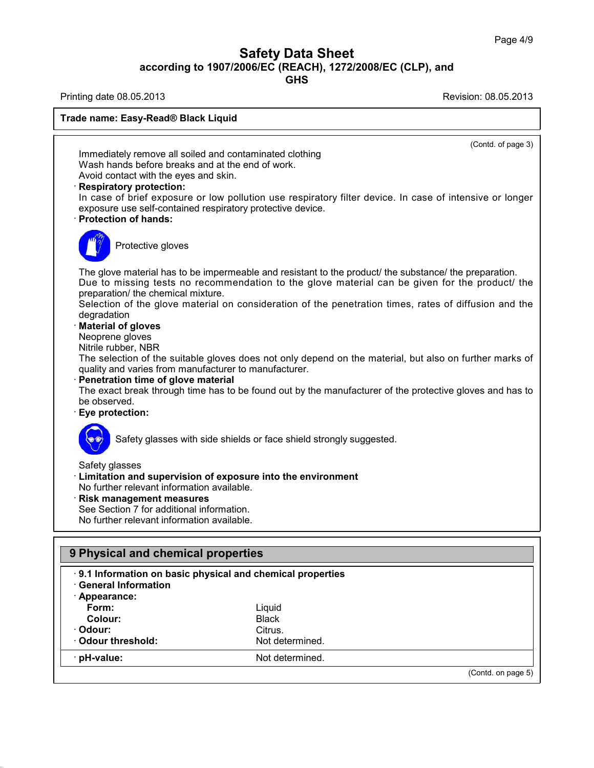## Safety Data Sheet<br><sub>006/EC (REACH), 1272/2008/EC (CLP),<br>GHS</sub> Page 4/9<br>**according to 1907/2006/EC (REACH), 1272/2008/EC (CLP), and<br>GHS<br>Revision: 08.05.2013<br>Revision: 08.05.2013 Safety Data Sheet<br>
Safety Data Sheet<br>
According to 1907/2006/EC (REACH), 1272/2008/EC (CLP), and<br>
Printing date 08.05.2013<br>
Revision: 08.05.2013<br>
Revision: 08.05.2013**

**GHS**



**Codour:** Citrus.<br> **Codour threshold:** Citrus. Not determined.

36.0.22

(Contd. on page 5)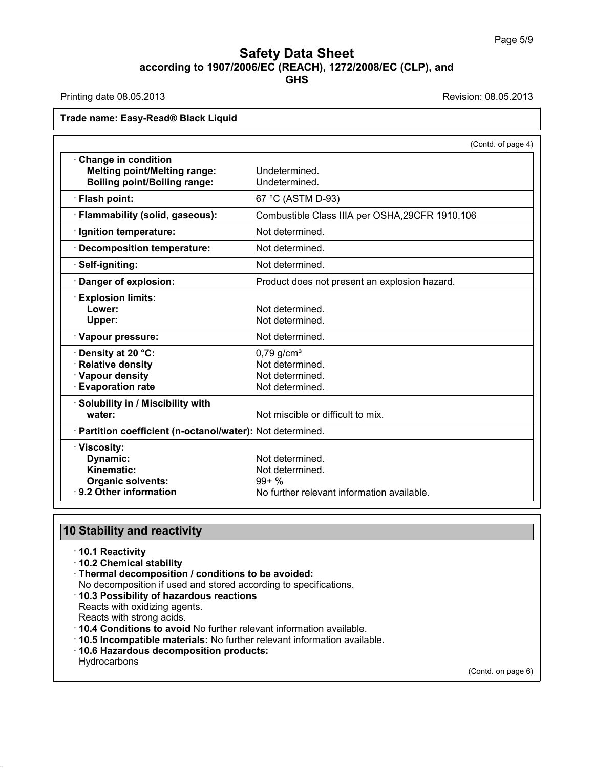## **Safety Data Sheet**<br> **according to 1907/2006/EC (REACH), 1272/2008/EC (CLP), and**<br> **GHS GHS Safety Data Sheet<br>
according to 1907/2006/EC (REACH), 1272/2008/EC (CLP), and<br>
Printing date 08.05.2013<br>
Revision: 08.05.2013<br>
Revision: 08.05.2013 ACCORDING 1907/2006/EC (Required)**<br>Printing date 08.05.2013<br>Trade name: Easy-Read® Black Liquid

### **Trade name: Easy-Read® Black Liquid**

|                                                            | (Contd. of page 4)                                      |
|------------------------------------------------------------|---------------------------------------------------------|
| <b>Change in condition</b>                                 |                                                         |
| <b>Melting point/Melting range:</b>                        | Undetermined.                                           |
| <b>Boiling point/Boiling range:</b>                        | Undetermined.                                           |
| · Flash point:                                             | 67 °C (ASTM D-93)                                       |
| · Flammability (solid, gaseous):                           | Combustible Class IIIA per OSHA, 29CFR 1910.106         |
| · Ignition temperature:                                    | Not determined.                                         |
| <b>Decomposition temperature:</b>                          | Not determined.                                         |
| Self-igniting:                                             | Not determined.                                         |
| Danger of explosion:                                       | Product does not present an explosion hazard.           |
| <b>Explosion limits:</b>                                   |                                                         |
| Lower:                                                     | Not determined.                                         |
| Upper:                                                     | Not determined.                                         |
| · Vapour pressure:                                         | Not determined.                                         |
| Density at 20 °C:                                          | $0,79$ g/cm <sup>3</sup>                                |
| <b>Relative density</b>                                    | Not determined.                                         |
| · Vapour density                                           | Not determined.                                         |
| <b>Evaporation rate</b>                                    | Not determined.                                         |
| · Solubility in / Miscibility with                         |                                                         |
| water:                                                     | Not miscible or difficult to mix.                       |
| · Partition coefficient (n-octanol/water): Not determined. |                                                         |
| · Viscosity:                                               |                                                         |
|                                                            | Not determined.                                         |
| Dynamic:                                                   |                                                         |
| <b>Kinematic:</b>                                          | Not determined.                                         |
| <b>Organic solvents:</b><br>⋅ 9.2 Other information        | $99 + \%$<br>No further relevant information available. |

## **Stability and reactively**<br> **10.1 Reactivity**<br> **10.2 Chemical stability**<br> **Thermal decomposition Stability and reactivity**<br> **10.1 Reactivity**<br> **10.2 Chemical stability**<br> **Thermal decomposition / condition**<br>
No decomposition if used and store

- 
- 
- 
- **Stability and reactivity<br>
· 10.1 Reactivity<br>
· 10.2 Chemical stability<br>
· Thermal decomposition / conditions to be avoided:<br>
· No decomposition if used and stored according to specifications.<br>· 10.3 Possibility of hazardo Stability and reactivity**<br>
↑ **10.1** Reactivity<br>
↑ **10.2** Chemical stability<br>
Thermal decomposition *l* conditions to be avoided:<br>
No decomposition if used and stored according to specifications.<br>
↑ **10.3 Possibility of h** <ul>\n<li><b>10.1 Reactivity</b></li>\n<li><b>10.2 Chemical stability</b></li>\n<li><b>Thermal decomposition / conditions to be avoided:</b>\n<p>No decomposition if used and stored according to specifications.</p>\n<ul>\n<li><b>10.3 Possibility of hazardous reactions</b></li>\n</ul>\n<p>Reacts with oxidizing agents.</p>\n<p>Reacts with strong acids.</p>\n<ul>\n<li><b>10.4 Conditions to avoid No further relevant information available.</b></li>\n</ul>
- 
- 
- 
- 10.2 Chemical stability<br>
Thermal decomposition / conditions to be avoided:<br>
No decomposition if used and stored according to specifications.<br>
 10.3 Possibility of hazardous reactions<br>
Reacts with oxidizing agents.<br>
Rea
- 
- 

**Hydrocarbons** 

36.0.22

(Contd. on page 6)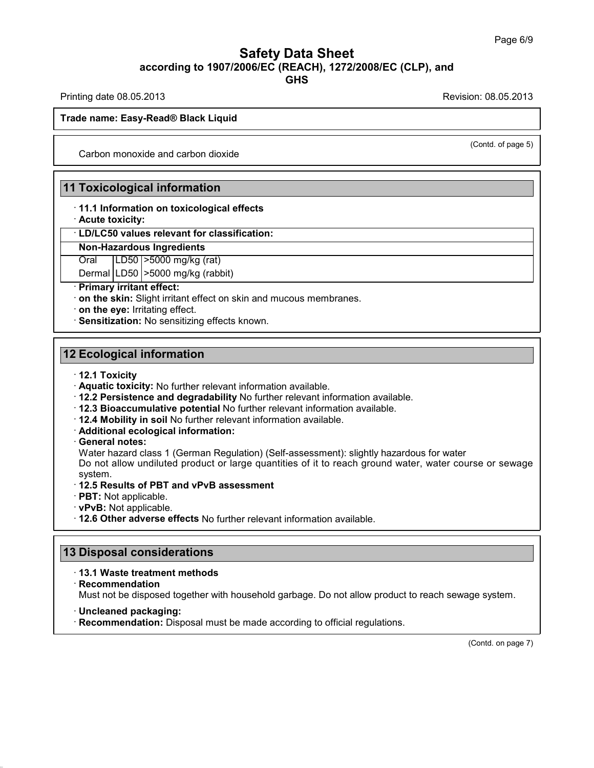### Safety Data Sheet<br><sub>006/EC (REACH), 1272/2008/EC (CLP),<br>GHS</sub> Page 6/9<br>**according to 1907/2006/EC (REACH), 1272/2008/EC (CLP), and<br>GHS<br>Revision: 08.05.2013<br>Revision: 08.05.2013 GHS Safety Data Sheet<br>
Safety Data Sheet<br>
According to 1907/2006/EC (REACH), 1272/2008/EC (CLP), and<br>
Printing date 08.05.2013<br>
Revision: 08.05.2013<br>
Revision: 08.05.2013 ACCORDING 1907/2006/EC (Required)**<br>Printing date 08.05.2013<br>Trade name: Easy-Read® Black Liquid

(Contd. of page 5)

de name: Easy-Read® Black Liquid<br>Carbon monoxide and carbon dioxide

**11 Toxicological information**<br>
11.1 Information<br>
11.1 Information on toxicological effects Carbon monoxide and carbon dioxide<br>
1 Toxicological information<br>
11.1 Information on toxicological effects<br>
1. Dil CEO values relevant for eleccification **11 Toxicological information<br>
11.1 Information on toxicologic<br>
Acute toxicity:<br>
LD/LC50 values relevant for cla<br>
Non-Hazardous Ingredients Toxicological information<br>· 11.1 Information on toxicological effects<br>· Acute toxicity:<br>· LD/LC50 values relevant for classification:<br>Non-Hazardous Ingredients Non-Hazardous Indianal Philadelphical Schools Indianal Philosopher Constrainers**<br> **Non-Hazardous Ingredients**<br>
Oral LD50 >5000 mg/kg (rat) 11.1 Information on toxicological effects<br>Acute toxicity:<br>LD/LC50 values relevant for classification:<br>Non-Hazardous Ingredients<br>Oral | LD50 |>5000 mg/kg (rat)<br>Dermal | LD50 |>5000 mg/kg (rabbit)

**LD/LC50 values relevant for classification:**<br> **Non-Hazardous Ingredients**<br>
Oral LD50 >5000 mg/kg (rat)<br>
Dermal LD50 >5000 mg/kg (rabbit)<br> **Primary irritant effect:** 

• **LD/LC50 values relevant for class**<br> **Non-Hazardous Ingredients**<br>
Oral **LD50** > 5000 mg/kg (rat)<br>
Dermal LD50 > 5000 mg/kg (rabbit<br>
• **Primary irritant effect:**<br>
• **on the skin:** Slight irritant effect on<br>
• **on the eve Non-Hazardous Ingredients**<br>
Oral LD50 >5000 mg/kg (rat)<br>
Dermal LD50 >5000 mg/kg (rabbit)<br> **Primary irritant effect:**<br> **on the skin:** Slight irritant effect on skin and mucous membranes.<br> **on the eye:** Irritating effect.<br> Frimary Irritant effect:<br> **12 Ecological information**<br> **12 Ecological information**<br> **12.1 Toxicity** 

- 
- 
- **12 Ecological information<br>
12 Ecological information<br>
12.1 Toxicity<br>
12.2 Persistence and degradability No further relevant information available.<br>
12.2 Persistence and degradability No further relevant information availa** 2 **Ecological information**<br>
12.1 Toxicity<br>
12.1 Toxicity: No further relevant information available.<br>
12.2 Persistence and degradability No further relevant information available.<br>
12.3 Bioaccumulative potential No further
	- **12.3 Bioaccumulative potential No further relevant information available.<br>
	12.4 Mobility in soil No further relevant information available.<br>
	<b>Additional ecological information:**<br> **General notes:**
	-
	-
	-

12.2 Persistence and degradability No turther relevant information available.<br>12.3 Bioaccumulative potential No further relevant information available.<br>12.4 Mobility in soil No further relevant information available.<br>Addit 12.3 Bioaccumulative potential No further relevant information available.<br>12.4 Mobility in soil No further relevant information available.<br>Additional ecological information:<br>General notes:<br>Water hazard class 1 (German Regu system.<br>· 12.5 Results of PBT and vPvB assessment **Water hazard class 1 (German Regulation) (Self-assessment): slightly hazardous for water Do not allow undiluted product or large quantities of it to reach ground water, water cousystem.<br>
<b>12.5 Results of PBT and vPvB ass** • **General notes:**<br>
Water hazard class 1 (German Regulation) (Self-assessment): slightly hazardo<br>
Do not allow undiluted product or large quantities of it to reach ground wate<br>
system.<br>
• **12.5 Results of PBT and vPvB asse** 

- 
- 
- 
- 12.5 Results of PBT and VPVB assessment<br>
PBT: Not applicable.<br>
12.6 Other adverse effects No further relations<br>
13 Disposal considerations<br>
13.1 Waste treatment methods

· **Recommendation**

36.0.22

• **12.6 Other adverse effects** No further relevant information available.<br> **13 Disposal considerations**<br>
• **13.1 Waste treatment methods**<br>
• **Recommendation**<br> **Must not be disposed together with household garbage. Do not a** Must not be disposed together with household garbage. Do not allow product to reach sewage system.<br>• Must not be disposed together with household garbage. Do not allow product to reach sewage system.<br>• **Uncleaned packaging** 

· **Recommendation:** Disposal must be made according to official regulations.

(Contd. on page 7)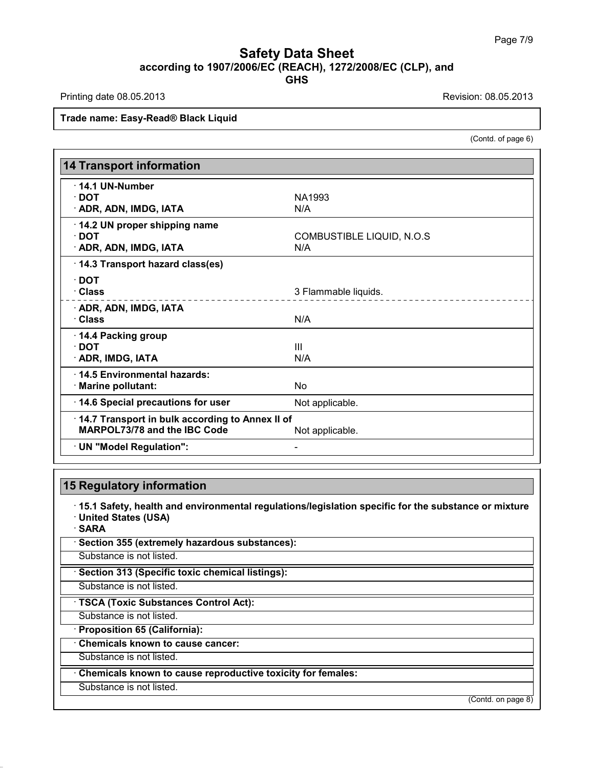### Safety Data Sheet<br><sub>006/EC (REACH), 1272/2008/EC (CLP),<br>GHS</sub> Page 7/9<br>**according to 1907/2006/EC (REACH), 1272/2008/EC (CLP), and<br>GHS<br>Revision: 08.05.2013<br>Revision: 08.05.2013 GHS Safety Data Sheet<br>
according to 1907/2006/EC (REACH), 1272/2008/EC (CLP), and<br>
Printing date 08.05.2013<br>
Revision: 08.05.2013<br>
Revision: 08.05.2013 Trade name: Easy-Read® Black Liquid**<br>Trade name: Easy-Read® Black Liquid

on: 08.05.2013<br>(Contd. of page 6)

| Trade name: Easy-Read® Black Liquid             |                                                                                                             |
|-------------------------------------------------|-------------------------------------------------------------------------------------------------------------|
|                                                 | (Contd. of page 6)                                                                                          |
|                                                 |                                                                                                             |
| <b>14 Transport information</b>                 |                                                                                                             |
| $\cdot$ 14.1 UN-Number                          |                                                                                                             |
| $\cdot$ DOT                                     | <b>NA1993</b>                                                                                               |
| · ADR, ADN, IMDG, IATA                          | N/A                                                                                                         |
| · 14.2 UN proper shipping name                  |                                                                                                             |
| $\cdot$ DOT                                     | <b>COMBUSTIBLE LIQUID, N.O.S</b>                                                                            |
| · ADR, ADN, IMDG, IATA                          | N/A                                                                                                         |
| 14.3 Transport hazard class(es)                 |                                                                                                             |
| $\cdot$ DOT                                     |                                                                                                             |
| · Class                                         | 3 Flammable liquids.                                                                                        |
| · ADR, ADN, IMDG, IATA                          | .                                                                                                           |
| · Class                                         | N/A                                                                                                         |
| 14.4 Packing group                              |                                                                                                             |
| $\cdot$ DOT                                     | $\mathbf{III}$                                                                                              |
| · ADR, IMDG, IATA                               | N/A                                                                                                         |
| 14.5 Environmental hazards:                     |                                                                                                             |
| · Marine pollutant:                             | <b>No</b>                                                                                                   |
| 14.6 Special precautions for user               | Not applicable.                                                                                             |
| 14.7 Transport in bulk according to Annex II of |                                                                                                             |
| <b>MARPOL73/78 and the IBC Code</b>             | Not applicable.                                                                                             |
| · UN "Model Regulation":                        |                                                                                                             |
|                                                 |                                                                                                             |
|                                                 |                                                                                                             |
| <b>15 Regulatory information</b>                |                                                                                                             |
|                                                 | $\cdot$ 15.1 Safety, health and environmental regulations/legislation specific for the substance or mixture |

**Example 15.1 Safety, health and environmental regulations/legislation specific for the substance or mixture**<br>- United States (USA)<br>- SARA **Example 15 Augulatory information<br>- 15.1 Safety, health and environmental States (USA)<br>- SARA<br>- Section 355 (extremely becarde** • **15.1 Safety, health and environmental regulations/legeral of SARA**<br>• **United States (USA)**<br>• **SARA**<br>• **Section 355 (extremely hazardous substances):**<br>Substance is not listed. Substance is not listed.<br> **SARA**<br>
Substance is not listed.<br>
Substance is not listed.<br>
Substance is not listed.<br>
Substance is not listed.<br>
Substance is not listed.

· **SARA**

36.0.22

**SARA**<br>
• **Section 355 (extremely hazardous substances):**<br>
• Substance is not listed.<br>
• **Section 313 (Specific toxic chemical listings):**<br>
• Substance is not listed.<br>
• **TSCA (Toxic Substances Control Act):**<br>
• Substance Substance is not listed.<br> **· Section 313 (Specific toxic chemical listings):**<br>
Substance is not listed.<br> **· TSCA (Toxic Substances Control Act):**<br>
Substance is not listed.<br> **· Chemicals known to cause cancer:**<br>
Substance i

**TSCA (Toxic Substances Control Act):** 

**TSCA (Toxic Substances Control Act):**<br>
Substance is not listed.<br> **• Proposition 65 (California):**<br>
• Chemicals known to cause cancer:<br>
Substance is not listed.<br>
• Chemicals known to cause reproductive toxicity for females Chemicals known to cause reproductive toxicity for females:<br>Substance is not listed.

(Contd. on page 8)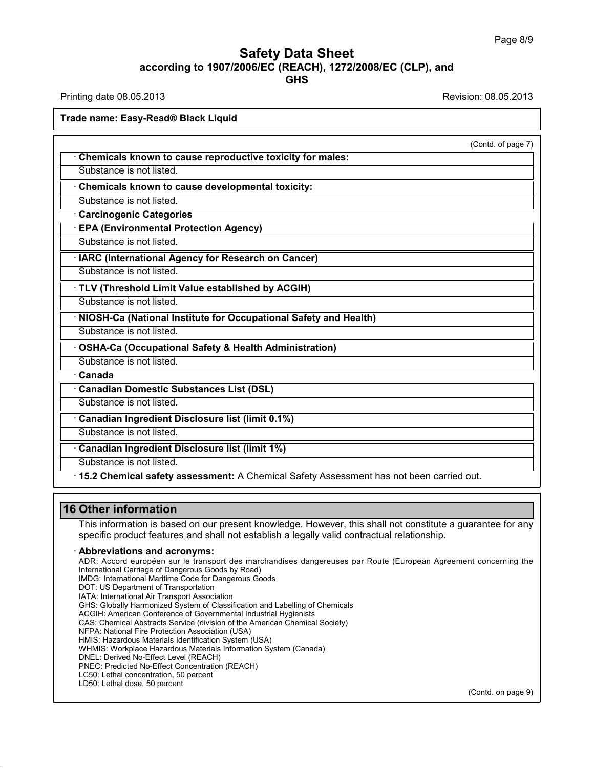### Safety Data Sheet<br><sub>006/EC (REACH), 1272/2008/EC (CLP),<br>GHS</sub> Page 8/9<br>**according to 1907/2006/EC (REACH), 1272/2008/EC (CLP), and<br>GHS<br>Revision: 08.05.2013<br>Revision: 08.05.2013 GHS Safety Data Sheet<br>
Safety Data Sheet<br>
According to 1907/2006/EC (REACH), 1272/2008/EC (CLP), and<br>
Printing date 08.05.2013<br>
Revision: 08.05.2013<br>
Revision: 08.05.2013 ACCORDING 1907/2006/EC (Required)**<br>Printing date 08.05.2013<br>Trade name: Easy-Read® Black Liquid

| <b>THILITY VAIL VU.UU.LUTU</b>                                                                                                                                                                            |                    |
|-----------------------------------------------------------------------------------------------------------------------------------------------------------------------------------------------------------|--------------------|
| <b>Frade name: Easy-Read® Black Liquid</b>                                                                                                                                                                |                    |
|                                                                                                                                                                                                           | (Contd. of page 7) |
| Chemicals known to cause reproductive toxicity for males:                                                                                                                                                 |                    |
| Substance is not listed.                                                                                                                                                                                  |                    |
| Chemicals known to cause developmental toxicity:                                                                                                                                                          |                    |
| Substance is not listed.                                                                                                                                                                                  |                    |
| <b>Carcinogenic Categories</b>                                                                                                                                                                            |                    |
| · EPA (Environmental Protection Agency)                                                                                                                                                                   |                    |
| Substance is not listed.                                                                                                                                                                                  |                    |
| · IARC (International Agency for Research on Cancer)                                                                                                                                                      |                    |
| Substance is not listed.                                                                                                                                                                                  |                    |
| · TLV (Threshold Limit Value established by ACGIH)                                                                                                                                                        |                    |
| Substance is not listed.                                                                                                                                                                                  |                    |
| · NIOSH-Ca (National Institute for Occupational Safety and Health)                                                                                                                                        |                    |
| Substance is not listed.                                                                                                                                                                                  |                    |
| · OSHA-Ca (Occupational Safety & Health Administration)                                                                                                                                                   |                    |
| Substance is not listed.                                                                                                                                                                                  |                    |
| · Canada                                                                                                                                                                                                  |                    |
| · Canadian Domestic Substances List (DSL)                                                                                                                                                                 |                    |
| Substance is not listed.                                                                                                                                                                                  |                    |
| Canadian Ingredient Disclosure list (limit 0.1%)                                                                                                                                                          |                    |
| Substance is not listed.                                                                                                                                                                                  |                    |
| · Canadian Ingredient Disclosure list (limit 1%)                                                                                                                                                          |                    |
| Substance is not listed.                                                                                                                                                                                  |                    |
| · 15.2 Chemical safety assessment: A Chemical Safety Assessment has not been carried out.                                                                                                                 |                    |
| <b>16 Other information</b>                                                                                                                                                                               |                    |
| This information is based on our present knowledge. However, this shall not constitute a guarantee for any<br>specific product features and shall not establish a legally valid contractual relationship. |                    |

36.0.22

**Solder information**<br> **Solder information**<br>
This information is based on our present knowledge. However, this shall not constitute a guarantee for any<br>
specific product features and shall not establish a legally valid cont This information is based on our present knowledge.<br>
specific product features and shall not establish a leg<br> **Abbreviations and acronyms:**<br>
ADR: Accord européen sur le transport des marchandises d<br>
International Martime C specific product features and shall not establish a legally<br>**Abbreviations and acronyms:**<br>ADR: Accord européen sur le transport des marchandises dang<br>International Carriage of Dangerous Goods by Road)<br>IMDG: International M **Abbreviations and acronyms:**<br>ADR: Accord européen sur le transport des<br>International Carriage of Dangerous Goods by R<br>IMDG: International Maritime Code for Dangerou<br>DOT: US Department of Transport Association<br>IATA: Intern **Abbreviations and acronyms:**<br>ADR: Accord européen sur le transport des marc<br>International Carriage of Dangerous Goods by Road)<br>IMDG: International Maritime Code for Dangerous Goo<br>DOT: US Department of Transportation<br>IATA: ADR: Accord européen sur le transport des marchandises dangereuses par Rou<br>International Carriage of Dangerous Goods by Road)<br>IMDG: International Maritime Code for Dangerous Goods<br>DOT: US Department of Transport Associatio International Carriage of Dangerous Goods by Road)<br>IMDG: International Maritime Code for Dangerous Goods<br>DOT: US Department of Transportation<br>IATA: International Air Transport Association<br>GHS: Globally Harmonized System of IMDG: International Maritime Code for Dangerous Goods<br>DOT: US Department of Transportation<br>IATA: International Air Transport Association<br>GHS: Globally Harmonized System of Classification and Labelling of Chemicals<br>ACGIH: A DOT: US Department of Transportation<br>IATA: International Air Transport Association<br>GHS: Globally Harmonized System of Classification and Label<br>ACGIH: American Conference of Governmental Industrial Hygi<br>CAS: Chemical Abstra IATA: International Air Transport Association<br>GHS: Globally Harmonized System of Classification and Labelling of<br>ACGIH: American Conference of Governmental Industrial Hygienists<br>CAS: Chemical Abstracts Service (division of GHS: Globally Harmonized System of Classification and Labelling of Chemicals<br>ACGIH: American Conference of Governmental Industrial Hygienists<br>CAS: Chemical Abstracts Service (division of the American Chemical Society)<br>NFPA ACGIH: American Conference of Governmental Incols<br>CAS: Chemical Abstracts Service (division of the A<br>NFPA: National Fire Protection Association (USA)<br>HMIS: Hazardous Materials Identification System (<br>WHMIS: Workplace Hazar CAS: Chemical Abstracts Service (division of the American C<br>NFPA: National Fire Protection Association (USA)<br>HMIS: Hazardous Materials Identification System (USA)<br>WHMIS: Workplace Hazardous Materials Information System<br>DNE NFPA: National Fire Protection Association (USA)<br>HMIS: Hazardous Materials Identification System (WHMIS: Workplace Hazardous Materials Informat<br>DNEL: Derived No-Effect Level (REACH)<br>PNEC: Predicted No-Effect Concentration HMIS: Hazardous Materials Identification<br>WHMIS: Workplace Hazardous Materials<br>DNEL: Derived No-Effect Level (REACH)<br>PNEC: Predicted No-Effect Concentration<br>LC50: Lethal concentration, 50 percent<br>LD50: Lethal dose, 50 perce (Contd. on page 9)